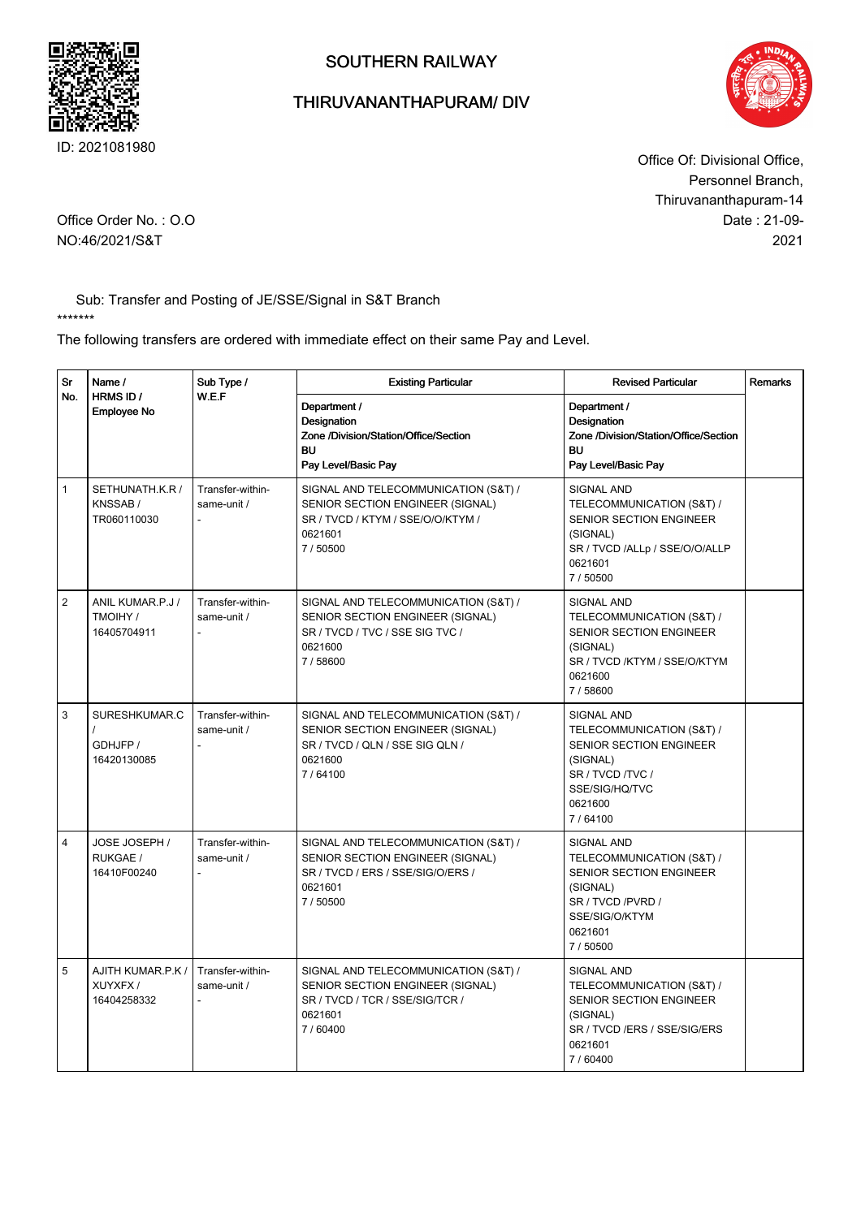

## THIRUVANANTHAPURAM/ DIV



Date : 21-09- 2021 Office Of: Divisional Office, Personnel Branch, Thiruvananthapuram-14

Office Order No. : O.O NO:46/2021/S&T

Sub: Transfer and Posting of JE/SSE/Signal in S&T Branch \*\*\*\*\*\*\*

The following transfers are ordered with immediate effect on their same Pay and Level.

| Sr<br>No.      | Name /<br>HRMS ID /<br><b>Employee No</b>   | Sub Type /<br>W.E.F             | <b>Existing Particular</b>                                                                                                          | <b>Revised Particular</b>                                                                                                                            | Remarks |
|----------------|---------------------------------------------|---------------------------------|-------------------------------------------------------------------------------------------------------------------------------------|------------------------------------------------------------------------------------------------------------------------------------------------------|---------|
|                |                                             |                                 | Department /<br>Designation<br>Zone /Division/Station/Office/Section<br><b>BU</b><br>Pay Level/Basic Pay                            | Department /<br>Designation<br>Zone /Division/Station/Office/Section<br><b>BU</b><br>Pay Level/Basic Pay                                             |         |
| $\mathbf{1}$   | SETHUNATH.K.R /<br>KNSSAB/<br>TR060110030   | Transfer-within-<br>same-unit / | SIGNAL AND TELECOMMUNICATION (S&T) /<br>SENIOR SECTION ENGINEER (SIGNAL)<br>SR / TVCD / KTYM / SSE/O/O/KTYM /<br>0621601<br>7/50500 | <b>SIGNAL AND</b><br>TELECOMMUNICATION (S&T) /<br><b>SENIOR SECTION ENGINEER</b><br>(SIGNAL)<br>SR / TVCD /ALLp / SSE/O/O/ALLP<br>0621601<br>7/50500 |         |
| $\overline{2}$ | ANIL KUMAR.P.J /<br>TMOIHY /<br>16405704911 | Transfer-within-<br>same-unit / | SIGNAL AND TELECOMMUNICATION (S&T) /<br>SENIOR SECTION ENGINEER (SIGNAL)<br>SR / TVCD / TVC / SSE SIG TVC /<br>0621600<br>7/58600   | <b>SIGNAL AND</b><br>TELECOMMUNICATION (S&T) /<br>SENIOR SECTION ENGINEER<br>(SIGNAL)<br>SR / TVCD /KTYM / SSE/O/KTYM<br>0621600<br>7/58600          |         |
| 3              | SURESHKUMAR.C<br>GDHJFP /<br>16420130085    | Transfer-within-<br>same-unit / | SIGNAL AND TELECOMMUNICATION (S&T) /<br>SENIOR SECTION ENGINEER (SIGNAL)<br>SR / TVCD / QLN / SSE SIG QLN /<br>0621600<br>7/64100   | <b>SIGNAL AND</b><br>TELECOMMUNICATION (S&T) /<br>SENIOR SECTION ENGINEER<br>(SIGNAL)<br>SR / TVCD / TVC /<br>SSE/SIG/HQ/TVC<br>0621600<br>7/64100   |         |
| $\overline{4}$ | JOSE JOSEPH /<br>RUKGAE /<br>16410F00240    | Transfer-within-<br>same-unit / | SIGNAL AND TELECOMMUNICATION (S&T) /<br>SENIOR SECTION ENGINEER (SIGNAL)<br>SR / TVCD / ERS / SSE/SIG/O/ERS /<br>0621601<br>7/50500 | <b>SIGNAL AND</b><br>TELECOMMUNICATION (S&T) /<br>SENIOR SECTION ENGINEER<br>(SIGNAL)<br>SR / TVCD / PVRD /<br>SSE/SIG/O/KTYM<br>0621601<br>7/50500  |         |
| 5              | AJITH KUMAR.P.K /<br>XUYXFX/<br>16404258332 | Transfer-within-<br>same-unit / | SIGNAL AND TELECOMMUNICATION (S&T) /<br>SENIOR SECTION ENGINEER (SIGNAL)<br>SR / TVCD / TCR / SSE/SIG/TCR /<br>0621601<br>7/60400   | <b>SIGNAL AND</b><br>TELECOMMUNICATION (S&T) /<br>SENIOR SECTION ENGINEER<br>(SIGNAL)<br>SR / TVCD /ERS / SSE/SIG/ERS<br>0621601<br>7/60400          |         |